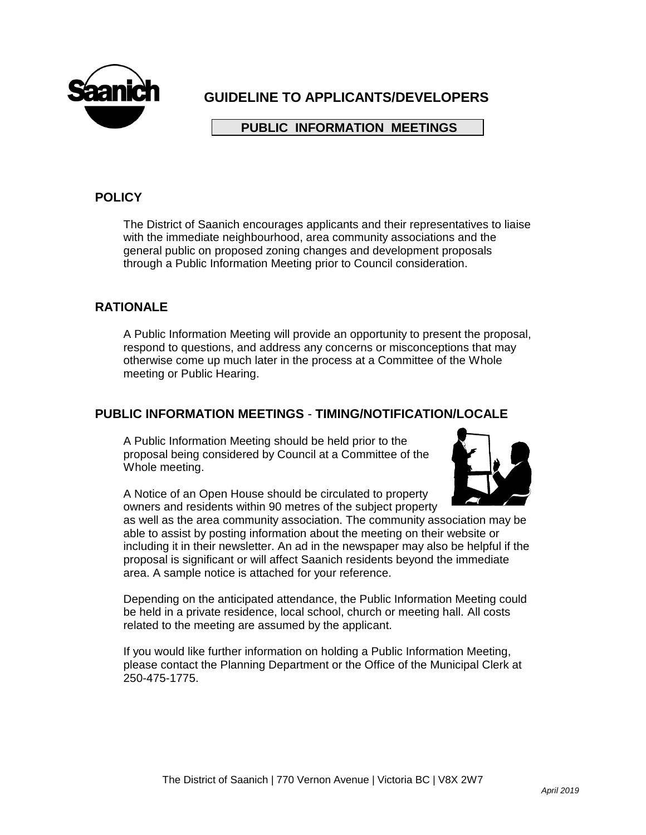

# **GUIDELINE TO APPLICANTS/DEVELOPERS**

### **PUBLIC INFORMATION MEETINGS**

## **POLICY**

The District of Saanich encourages applicants and their representatives to liaise with the immediate neighbourhood, area community associations and the general public on proposed zoning changes and development proposals through a Public Information Meeting prior to Council consideration.

### **RATIONALE**

A Public Information Meeting will provide an opportunity to present the proposal, respond to questions, and address any concerns or misconceptions that may otherwise come up much later in the process at a Committee of the Whole meeting or Public Hearing.

#### **PUBLIC INFORMATION MEETINGS** - **TIMING/NOTIFICATION/LOCALE**

A Public Information Meeting should be held prior to the proposal being considered by Council at a Committee of the Whole meeting.



A Notice of an Open House should be circulated to property owners and residents within 90 metres of the subject property

as well as the area community association. The community association may be able to assist by posting information about the meeting on their website or including it in their newsletter. An ad in the newspaper may also be helpful if the proposal is significant or will affect Saanich residents beyond the immediate area. A sample notice is attached for your reference.

Depending on the anticipated attendance, the Public Information Meeting could be held in a private residence, local school, church or meeting hall. All costs related to the meeting are assumed by the applicant.

If you would like further information on holding a Public Information Meeting, please contact the Planning Department or the Office of the Municipal Clerk at 250-475-1775.